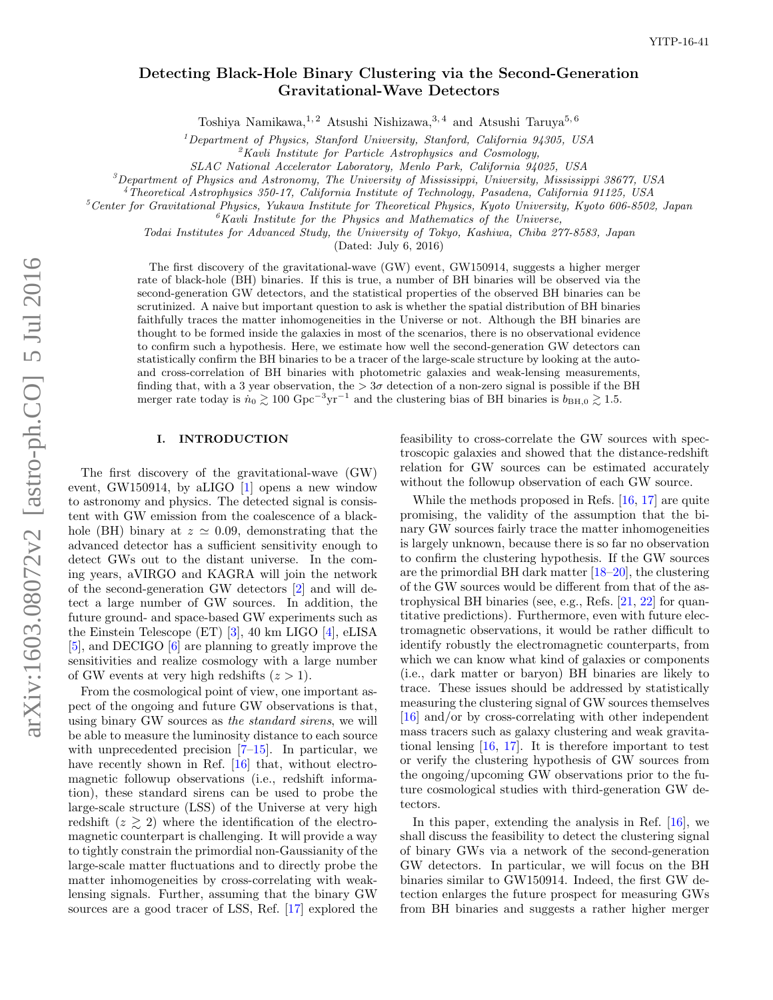# Detecting Black-Hole Binary Clustering via the Second-Generation Gravitational-Wave Detectors

Toshiya Namikawa, <sup>1, 2</sup> Atsushi Nishizawa, <sup>3, 4</sup> and Atsushi Taruya<sup>5, 6</sup>

 $1$ Department of Physics, Stanford University, Stanford, California 94305, USA

 ${}^{2}$ Kavli Institute for Particle Astrophysics and Cosmology,

SLAC National Accelerator Laboratory, Menlo Park, California 94025, USA

 ${}^3$ Department of Physics and Astronomy, The University of Mississippi, University, Mississippi 38677, USA

<sup>4</sup>Theoretical Astrophysics 350-17, California Institute of Technology, Pasadena, California 91125, USA

 $5$ Center for Gravitational Physics, Yukawa Institute for Theoretical Physics, Kyoto University, Kyoto 606-8502, Japan

 ${}^6$ Kavli Institute for the Physics and Mathematics of the Universe,

Todai Institutes for Advanced Study, the University of Tokyo, Kashiwa, Chiba 277-8583, Japan

(Dated: July 6, 2016)

The first discovery of the gravitational-wave (GW) event, GW150914, suggests a higher merger rate of black-hole (BH) binaries. If this is true, a number of BH binaries will be observed via the second-generation GW detectors, and the statistical properties of the observed BH binaries can be scrutinized. A naive but important question to ask is whether the spatial distribution of BH binaries faithfully traces the matter inhomogeneities in the Universe or not. Although the BH binaries are thought to be formed inside the galaxies in most of the scenarios, there is no observational evidence to confirm such a hypothesis. Here, we estimate how well the second-generation GW detectors can statistically confirm the BH binaries to be a tracer of the large-scale structure by looking at the autoand cross-correlation of BH binaries with photometric galaxies and weak-lensing measurements, finding that, with a 3 year observation, the  $>3\sigma$  detection of a non-zero signal is possible if the BH merger rate today is  $n_0 \gtrsim 100 \text{ Gpc}^{-3} \text{yr}^{-1}$  and the clustering bias of BH binaries is  $b_{\text{BH},0} \gtrsim 1.5$ .

# I. INTRODUCTION

The first discovery of the gravitational-wave (GW) event, GW150914, by aLIGO [\[1\]](#page-6-0) opens a new window to astronomy and physics. The detected signal is consistent with GW emission from the coalescence of a blackhole (BH) binary at  $z \approx 0.09$ , demonstrating that the advanced detector has a sufficient sensitivity enough to detect GWs out to the distant universe. In the coming years, aVIRGO and KAGRA will join the network of the second-generation GW detectors [\[2\]](#page-6-1) and will detect a large number of GW sources. In addition, the future ground- and space-based GW experiments such as the Einstein Telescope (ET) [\[3\]](#page-6-2), 40 km LIGO [\[4\]](#page-6-3), eLISA [\[5\]](#page-6-4), and DECIGO [\[6\]](#page-6-5) are planning to greatly improve the sensitivities and realize cosmology with a large number of GW events at very high redshifts  $(z > 1)$ .

From the cosmological point of view, one important aspect of the ongoing and future GW observations is that, using binary GW sources as the standard sirens, we will be able to measure the luminosity distance to each source with unprecedented precision  $[7-15]$  $[7-15]$ . In particular, we have recently shown in Ref. [\[16\]](#page-6-8) that, without electromagnetic followup observations (i.e., redshift information), these standard sirens can be used to probe the large-scale structure (LSS) of the Universe at very high redshift  $(z \geq 2)$  where the identification of the electromagnetic counterpart is challenging. It will provide a way to tightly constrain the primordial non-Gaussianity of the large-scale matter fluctuations and to directly probe the matter inhomogeneities by cross-correlating with weaklensing signals. Further, assuming that the binary GW sources are a good tracer of LSS, Ref. [\[17\]](#page-6-9) explored the

feasibility to cross-correlate the GW sources with spectroscopic galaxies and showed that the distance-redshift relation for GW sources can be estimated accurately without the followup observation of each GW source.

While the methods proposed in Refs. [\[16,](#page-6-8) [17\]](#page-6-9) are quite promising, the validity of the assumption that the binary GW sources fairly trace the matter inhomogeneities is largely unknown, because there is so far no observation to confirm the clustering hypothesis. If the GW sources are the primordial BH dark matter [\[18–](#page-6-10)[20\]](#page-6-11), the clustering of the GW sources would be different from that of the astrophysical BH binaries (see, e.g., Refs. [\[21,](#page-6-12) [22\]](#page-6-13) for quantitative predictions). Furthermore, even with future electromagnetic observations, it would be rather difficult to identify robustly the electromagnetic counterparts, from which we can know what kind of galaxies or components (i.e., dark matter or baryon) BH binaries are likely to trace. These issues should be addressed by statistically measuring the clustering signal of GW sources themselves [\[16\]](#page-6-8) and/or by cross-correlating with other independent mass tracers such as galaxy clustering and weak gravitational lensing [\[16,](#page-6-8) [17\]](#page-6-9). It is therefore important to test or verify the clustering hypothesis of GW sources from the ongoing/upcoming GW observations prior to the future cosmological studies with third-generation GW detectors.

In this paper, extending the analysis in Ref. [\[16\]](#page-6-8), we shall discuss the feasibility to detect the clustering signal of binary GWs via a network of the second-generation GW detectors. In particular, we will focus on the BH binaries similar to GW150914. Indeed, the first GW detection enlarges the future prospect for measuring GWs from BH binaries and suggests a rather higher merger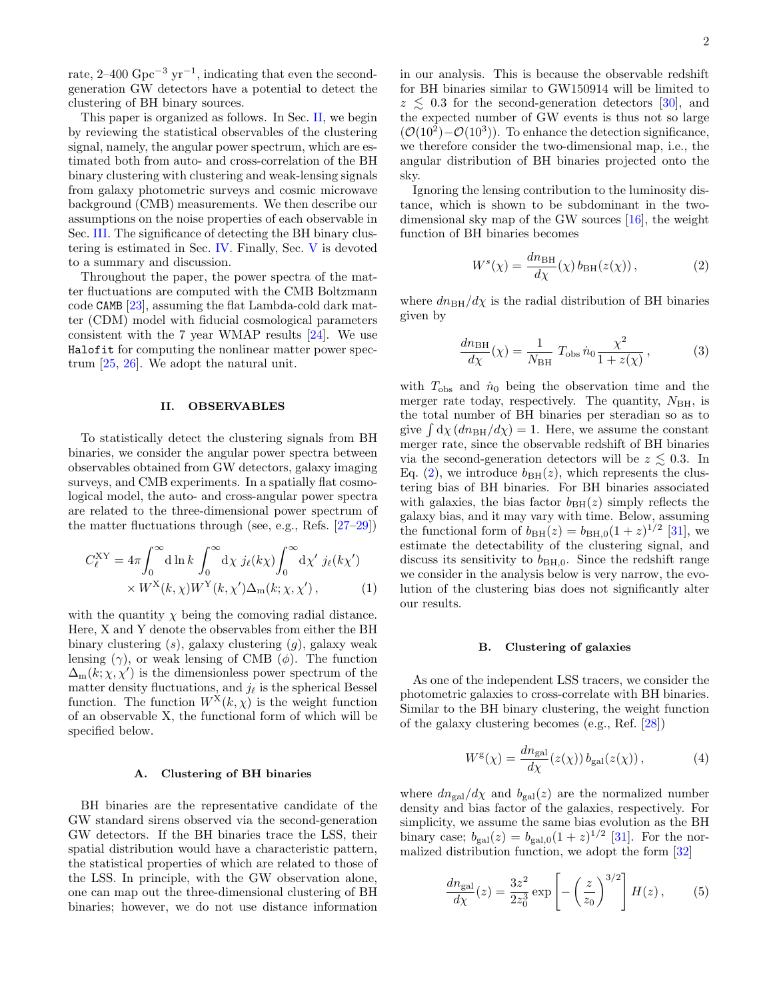rate,  $2-400 \text{ Gpc}^{-3} \text{ yr}^{-1}$ , indicating that even the secondgeneration GW detectors have a potential to detect the clustering of BH binary sources.

This paper is organized as follows. In Sec. [II,](#page-1-0) we begin by reviewing the statistical observables of the clustering signal, namely, the angular power spectrum, which are estimated both from auto- and cross-correlation of the BH binary clustering with clustering and weak-lensing signals from galaxy photometric surveys and cosmic microwave background (CMB) measurements. We then describe our assumptions on the noise properties of each observable in Sec. [III.](#page-2-0) The significance of detecting the BH binary clustering is estimated in Sec. [IV.](#page-3-0) Finally, Sec. [V](#page-5-0) is devoted to a summary and discussion.

Throughout the paper, the power spectra of the matter fluctuations are computed with the CMB Boltzmann code CAMB [\[23\]](#page-6-14), assuming the flat Lambda-cold dark matter (CDM) model with fiducial cosmological parameters consistent with the 7 year WMAP results [\[24\]](#page-6-15). We use Halofit for computing the nonlinear matter power spectrum [\[25,](#page-6-16) [26\]](#page-6-17). We adopt the natural unit.

### <span id="page-1-0"></span>II. OBSERVABLES

To statistically detect the clustering signals from BH binaries, we consider the angular power spectra between observables obtained from GW detectors, galaxy imaging surveys, and CMB experiments. In a spatially flat cosmological model, the auto- and cross-angular power spectra are related to the three-dimensional power spectrum of the matter fluctuations through (see, e.g., Refs. [\[27–](#page-6-18)[29\]](#page-6-19))

$$
C_{\ell}^{\text{XY}} = 4\pi \int_0^{\infty} \text{d}\ln k \int_0^{\infty} \text{d}\chi \ j_{\ell}(k\chi) \int_0^{\infty} \text{d}\chi' \ j_{\ell}(k\chi')
$$

$$
\times W^{\text{X}}(k,\chi) W^{\text{Y}}(k,\chi') \Delta_{\text{m}}(k;\chi,\chi'), \qquad (1)
$$

with the quantity  $\chi$  being the comoving radial distance. Here, X and Y denote the observables from either the BH binary clustering  $(s)$ , galaxy clustering  $(g)$ , galaxy weak lensing  $(\gamma)$ , or weak lensing of CMB  $(\phi)$ . The function  $\Delta_{\rm m}(k; \chi, \chi')$  is the dimensionless power spectrum of the matter density fluctuations, and  $j_{\ell}$  is the spherical Bessel function. The function  $W^{\dot{X}}(k,\chi)$  is the weight function of an observable X, the functional form of which will be specified below.

### A. Clustering of BH binaries

BH binaries are the representative candidate of the GW standard sirens observed via the second-generation GW detectors. If the BH binaries trace the LSS, their spatial distribution would have a characteristic pattern, the statistical properties of which are related to those of the LSS. In principle, with the GW observation alone, one can map out the three-dimensional clustering of BH binaries; however, we do not use distance information in our analysis. This is because the observable redshift for BH binaries similar to GW150914 will be limited to  $z \leq 0.3$  for the second-generation detectors [\[30\]](#page-6-20), and the expected number of GW events is thus not so large  $(\mathcal{O}(10^2)-\mathcal{O}(10^3))$ . To enhance the detection significance, we therefore consider the two-dimensional map, i.e., the angular distribution of BH binaries projected onto the sky.

Ignoring the lensing contribution to the luminosity distance, which is shown to be subdominant in the twodimensional sky map of the GW sources [\[16\]](#page-6-8), the weight function of BH binaries becomes

<span id="page-1-1"></span>
$$
W^{s}(\chi) = \frac{dn_{\rm BH}}{d\chi}(\chi) b_{\rm BH}(z(\chi)), \qquad (2)
$$

where  $dn_{\rm BH}/d\chi$  is the radial distribution of BH binaries given by

$$
\frac{dn_{\rm BH}}{d\chi}(\chi) = \frac{1}{N_{\rm BH}} T_{\rm obs} \,\dot{n}_0 \frac{\chi^2}{1 + z(\chi)},\tag{3}
$$

with  $T_{\text{obs}}$  and  $\dot{n}_0$  being the observation time and the merger rate today, respectively. The quantity,  $N_{\rm BH}$ , is the total number of BH binaries per steradian so as to give  $\int d\chi (dn_{\rm BH}/d\chi) = 1$ . Here, we assume the constant merger rate, since the observable redshift of BH binaries via the second-generation detectors will be  $z \lesssim 0.3$ . In Eq. [\(2\)](#page-1-1), we introduce  $b_{\text{BH}}(z)$ , which represents the clustering bias of BH binaries. For BH binaries associated with galaxies, the bias factor  $b_{\text{BH}}(z)$  simply reflects the galaxy bias, and it may vary with time. Below, assuming the functional form of  $b_{\text{BH}}(z) = b_{\text{BH},0}(1+z)^{1/2}$  [\[31\]](#page-6-21), we estimate the detectability of the clustering signal, and discuss its sensitivity to  $b_{\text{BH},0}$ . Since the redshift range we consider in the analysis below is very narrow, the evolution of the clustering bias does not significantly alter our results.

#### B. Clustering of galaxies

As one of the independent LSS tracers, we consider the photometric galaxies to cross-correlate with BH binaries. Similar to the BH binary clustering, the weight function of the galaxy clustering becomes (e.g., Ref. [\[28\]](#page-6-22))

$$
W^{g}(\chi) = \frac{dn_{\text{gal}}}{d\chi}(z(\chi)) b_{\text{gal}}(z(\chi)), \qquad (4)
$$

where  $dn_{gal}/d\chi$  and  $b_{gal}(z)$  are the normalized number density and bias factor of the galaxies, respectively. For simplicity, we assume the same bias evolution as the BH binary case;  $b_{\text{gal}}(z) = b_{\text{gal,0}}(1+z)^{1/2}$  [\[31\]](#page-6-21). For the normalized distribution function, we adopt the form [\[32\]](#page-6-23)

<span id="page-1-2"></span>
$$
\frac{dn_{\text{gal}}}{d\chi}(z) = \frac{3z^2}{2z_0^3} \exp\left[-\left(\frac{z}{z_0}\right)^{3/2}\right] H(z)\,,\qquad(5)
$$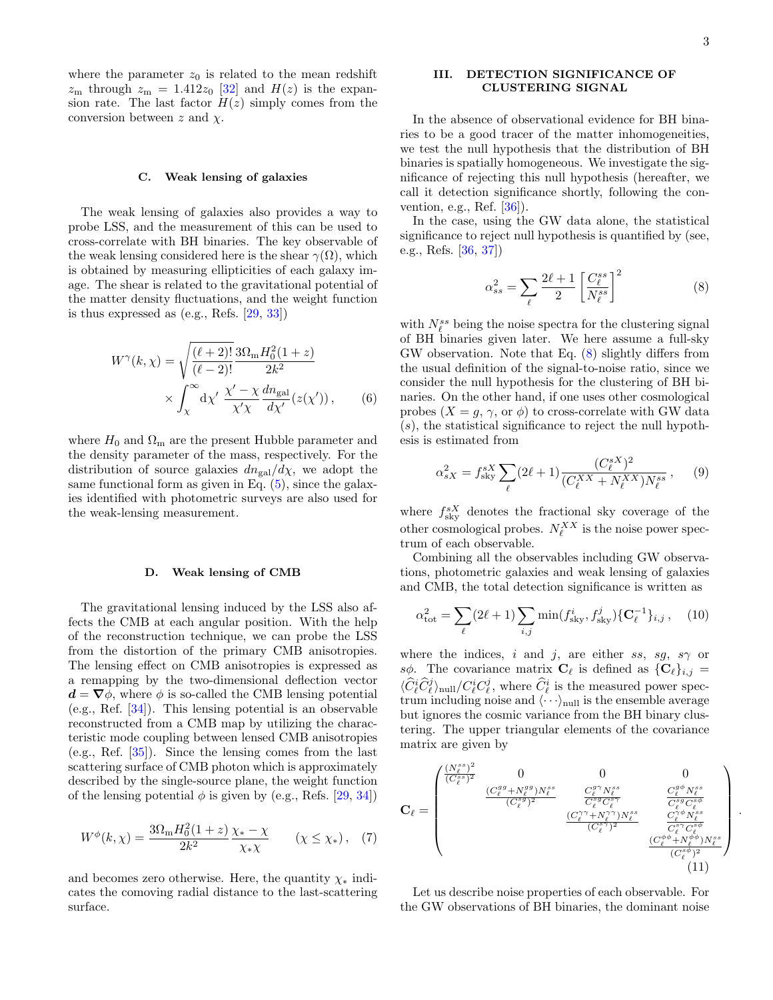where the parameter  $z_0$  is related to the mean redshift  $z_{\rm m}$  through  $z_{\rm m} = 1.412z_0$  [\[32\]](#page-6-23) and  $H(z)$  is the expansion rate. The last factor  $H(z)$  simply comes from the conversion between  $z$  and  $\chi$ .

### C. Weak lensing of galaxies

The weak lensing of galaxies also provides a way to probe LSS, and the measurement of this can be used to cross-correlate with BH binaries. The key observable of the weak lensing considered here is the shear  $\gamma(\Omega)$ , which is obtained by measuring ellipticities of each galaxy image. The shear is related to the gravitational potential of the matter density fluctuations, and the weight function is thus expressed as (e.g., Refs. [\[29,](#page-6-19) [33\]](#page-6-24))

$$
W^{\gamma}(k,\chi) = \sqrt{\frac{(\ell+2)!}{(\ell-2)!}} \frac{3\Omega_{\rm m} H_0^2(1+z)}{2k^2}
$$

$$
\times \int_{\chi}^{\infty} d\chi' \frac{\chi' - \chi}{\chi'\chi} \frac{dn_{\rm gal}}{d\chi'}(z(\chi')) , \qquad (6)
$$

where  $H_0$  and  $\Omega_{\rm m}$  are the present Hubble parameter and the density parameter of the mass, respectively. For the distribution of source galaxies  $dn_{\text{gal}}/d\chi$ , we adopt the same functional form as given in Eq.  $(5)$ , since the galaxies identified with photometric surveys are also used for the weak-lensing measurement.

#### D. Weak lensing of CMB

The gravitational lensing induced by the LSS also affects the CMB at each angular position. With the help of the reconstruction technique, we can probe the LSS from the distortion of the primary CMB anisotropies. The lensing effect on CMB anisotropies is expressed as a remapping by the two-dimensional deflection vector  $\mathbf{d} = \nabla \phi$ , where  $\phi$  is so-called the CMB lensing potential (e.g., Ref. [\[34\]](#page-6-25)). This lensing potential is an observable reconstructed from a CMB map by utilizing the characteristic mode coupling between lensed CMB anisotropies (e.g., Ref. [\[35\]](#page-7-0)). Since the lensing comes from the last scattering surface of CMB photon which is approximately described by the single-source plane, the weight function of the lensing potential  $\phi$  is given by (e.g., Refs. [\[29,](#page-6-19) [34\]](#page-6-25))

$$
W^{\phi}(k,\chi) = \frac{3\Omega_{\rm m}H_0^2(1+z)}{2k^2} \frac{\chi_* - \chi}{\chi_* \chi} \qquad (\chi \le \chi_*)\,,\tag{7}
$$

and becomes zero otherwise. Here, the quantity  $\chi_*$  indicates the comoving radial distance to the last-scattering surface.

# <span id="page-2-0"></span>III. DETECTION SIGNIFICANCE OF CLUSTERING SIGNAL

In the absence of observational evidence for BH binaries to be a good tracer of the matter inhomogeneities, we test the null hypothesis that the distribution of BH binaries is spatially homogeneous. We investigate the significance of rejecting this null hypothesis (hereafter, we call it detection significance shortly, following the convention, e.g., Ref. [\[36\]](#page-7-1)).

In the case, using the GW data alone, the statistical significance to reject null hypothesis is quantified by (see, e.g., Refs. [\[36,](#page-7-1) [37\]](#page-7-2))

<span id="page-2-1"></span>
$$
\alpha_{ss}^2 = \sum_{\ell} \frac{2\ell+1}{2} \left[ \frac{C_{\ell}^{ss}}{N_{\ell}^{ss}} \right]^2 \tag{8}
$$

with  $N_{\ell}^{ss}$  being the noise spectra for the clustering signal of BH binaries given later. We here assume a full-sky GW observation. Note that Eq. [\(8\)](#page-2-1) slightly differs from the usual definition of the signal-to-noise ratio, since we consider the null hypothesis for the clustering of BH binaries. On the other hand, if one uses other cosmological probes  $(X = g, \gamma, \text{or } \phi)$  to cross-correlate with GW data  $(s)$ , the statistical significance to reject the null hypothesis is estimated from

$$
\alpha_{sX}^2 = f_{\text{sky}}^{sX} \sum_{\ell} (2\ell + 1) \frac{(C_{\ell}^{sX})^2}{(C_{\ell}^{XX} + N_{\ell}^{XX})N_{\ell}^{ss}}, \quad (9)
$$

where  $f_{\text{sky}}^{sX}$  denotes the fractional sky coverage of the other cosmological probes.  $N_{\ell}^{XX}$  is the noise power spectrum of each observable.

Combining all the observables including GW observations, photometric galaxies and weak lensing of galaxies and CMB, the total detection significance is written as

$$
\alpha_{\rm tot}^2 = \sum_{\ell} (2\ell + 1) \sum_{i,j} \min(f_{\rm sky}^i, f_{\rm sky}^j) \{ \mathbf{C}_{\ell}^{-1} \}_{i,j}, \quad (10)
$$

where the indices, i and j, are either ss, sq, s $\gamma$  or s $\phi$ . The covariance matrix  $\mathbf{C}_{\ell}$  is defined as  $\{\mathbf{C}_{\ell}\}_{i,j} =$  $\langle \hat{C}_{\ell}^{i} \hat{C}_{\ell}^{j} \rangle_{\text{null}} / C_{\ell}^{i} C_{\ell}^{j}$ , where  $\hat{C}_{\ell}^{i}$  is the measured power spectrum including noise and  $\langle \cdot \cdot \cdot \rangle_{\text{null}}$  is the ensemble average but ignores the cosmic variance from the BH binary clustering. The upper triangular elements of the covariance matrix are given by

$$
\mathbf{C}_{\ell} = \begin{pmatrix} \frac{(N_{\ell}^{s})^{2}}{(C_{\ell}^{s})^{2}} & 0 & 0 & 0\\ & \frac{(C_{\ell}^{g}q + N_{\ell}^{g}g)N_{\ell}^{s}s}{(C_{\ell}^{s}g)^{2}} & \frac{C_{\ell}^{g\gamma}N_{\ell}^{s}s}{C_{\ell}^{s}gC_{\ell}^{s}\gamma} & \frac{C_{\ell}^{g\phi}N_{\ell}^{s}s}{C_{\ell}^{s}gC_{\ell}^{s}\phi} \\ & \frac{(C_{\ell}^{\gamma\gamma}+N_{\ell}^{\gamma\gamma})N_{\ell}^{s}s}{(C_{\ell}^{s\gamma})^{2}} & \frac{C_{\ell}^{s\phi}N_{\ell}^{s}s}{C_{\ell}^{s\gamma}C_{\ell}^{s\phi}} \\ & \frac{(C_{\ell}^{\phi}+N_{\ell}^{\phi\phi})N_{\ell}^{s}s}{(C_{\ell}^{\phi\phi})^{2}} \\ & & \frac{(C_{\ell}^{\phi}+N_{\ell}^{\phi\phi})N_{\ell}^{s}s}{(C_{\ell}^{\phi\phi})^{2}} \end{pmatrix}
$$

<span id="page-2-2"></span>.

Let us describe noise properties of each observable. For the GW observations of BH binaries, the dominant noise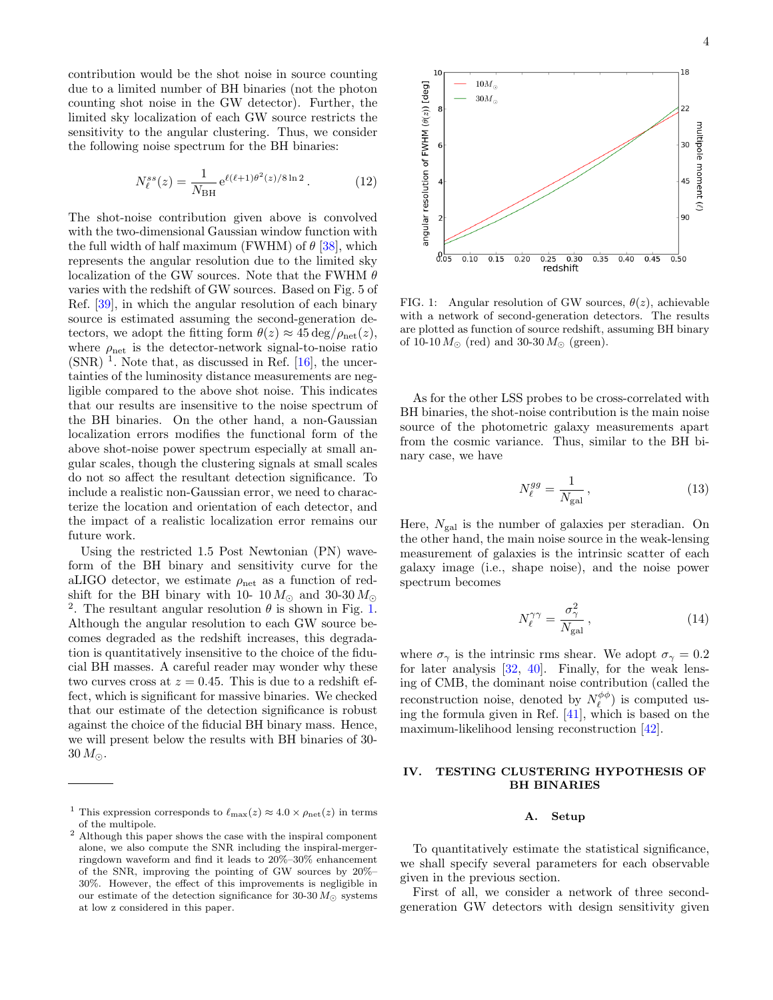contribution would be the shot noise in source counting due to a limited number of BH binaries (not the photon counting shot noise in the GW detector). Further, the limited sky localization of each GW source restricts the sensitivity to the angular clustering. Thus, we consider the following noise spectrum for the BH binaries:

$$
N_{\ell}^{ss}(z) = \frac{1}{N_{\rm BH}} e^{\ell(\ell+1)\theta^2(z)/8\ln 2}.
$$
 (12)

The shot-noise contribution given above is convolved with the two-dimensional Gaussian window function with the full width of half maximum (FWHM) of  $\theta$  [\[38\]](#page-7-3), which represents the angular resolution due to the limited sky localization of the GW sources. Note that the FWHM  $\theta$ varies with the redshift of GW sources. Based on Fig. 5 of Ref. [\[39\]](#page-7-4), in which the angular resolution of each binary source is estimated assuming the second-generation detectors, we adopt the fitting form  $\theta(z) \approx 45 \text{ deg}/\rho_{\text{net}}(z)$ , where  $\rho_{\text{net}}$  is the detector-network signal-to-noise ratio  $(SNR)$ <sup>1</sup>. Note that, as discussed in Ref. [\[16\]](#page-6-8), the uncertainties of the luminosity distance measurements are negligible compared to the above shot noise. This indicates that our results are insensitive to the noise spectrum of the BH binaries. On the other hand, a non-Gaussian localization errors modifies the functional form of the above shot-noise power spectrum especially at small angular scales, though the clustering signals at small scales do not so affect the resultant detection significance. To include a realistic non-Gaussian error, we need to characterize the location and orientation of each detector, and the impact of a realistic localization error remains our future work.

Using the restricted 1.5 Post Newtonian (PN) waveform of the BH binary and sensitivity curve for the aLIGO detector, we estimate  $\rho_{\text{net}}$  as a function of redshift for the BH binary with 10- 10  $M_{\odot}$  and 30-30  $M_{\odot}$ <sup>2</sup>. The resultant angular resolution  $\theta$  is shown in Fig. [1.](#page-3-1) Although the angular resolution to each GW source becomes degraded as the redshift increases, this degradation is quantitatively insensitive to the choice of the fiducial BH masses. A careful reader may wonder why these two curves cross at  $z = 0.45$ . This is due to a redshift effect, which is significant for massive binaries. We checked that our estimate of the detection significance is robust against the choice of the fiducial BH binary mass. Hence, we will present below the results with BH binaries of 30-  $30 M_{\odot}$ .



<span id="page-3-1"></span>FIG. 1: Angular resolution of GW sources,  $\theta(z)$ , achievable with a network of second-generation detectors. The results are plotted as function of source redshift, assuming BH binary of 10-10  $M_{\odot}$  (red) and 30-30  $M_{\odot}$  (green).

As for the other LSS probes to be cross-correlated with BH binaries, the shot-noise contribution is the main noise source of the photometric galaxy measurements apart from the cosmic variance. Thus, similar to the BH binary case, we have

$$
N_{\ell}^{gg} = \frac{1}{N_{\rm gal}}\,,\tag{13}
$$

Here,  $N_{\text{gal}}$  is the number of galaxies per steradian. On the other hand, the main noise source in the weak-lensing measurement of galaxies is the intrinsic scatter of each galaxy image (i.e., shape noise), and the noise power spectrum becomes

$$
N_{\ell}^{\gamma\gamma} = \frac{\sigma_{\gamma}^{2}}{N_{\rm gal}}\,,\tag{14}
$$

where  $\sigma_{\gamma}$  is the intrinsic rms shear. We adopt  $\sigma_{\gamma} = 0.2$ for later analysis [\[32,](#page-6-23) [40\]](#page-7-5). Finally, for the weak lensing of CMB, the dominant noise contribution (called the reconstruction noise, denoted by  $N_{\ell}^{\phi\phi}$ ) is computed using the formula given in Ref. [\[41\]](#page-7-6), which is based on the maximum-likelihood lensing reconstruction [\[42\]](#page-7-7).

# <span id="page-3-0"></span>IV. TESTING CLUSTERING HYPOTHESIS OF BH BINARIES

### A. Setup

To quantitatively estimate the statistical significance, we shall specify several parameters for each observable given in the previous section.

First of all, we consider a network of three secondgeneration GW detectors with design sensitivity given

<sup>&</sup>lt;sup>1</sup> This expression corresponds to  $\ell_{\max}(z) \approx 4.0 \times \rho_{\text{net}}(z)$  in terms of the multipole.

<sup>2</sup> Although this paper shows the case with the inspiral component alone, we also compute the SNR including the inspiral-mergerringdown waveform and find it leads to 20%–30% enhancement of the SNR, improving the pointing of GW sources by 20%– 30%. However, the effect of this improvements is negligible in our estimate of the detection significance for 30-30  $M_{\odot}$  systems at low z considered in this paper.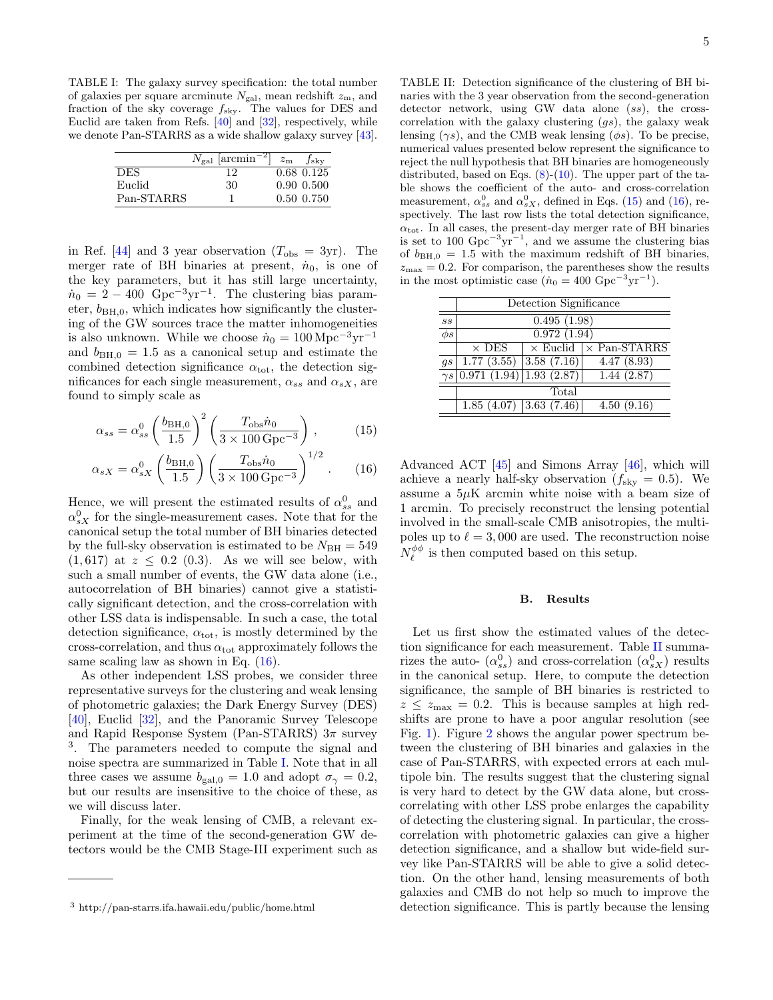<span id="page-4-1"></span>TABLE I: The galaxy survey specification: the total number of galaxies per square arcminute  $N_{\text{gal}}$ , mean redshift  $z_{\text{m}}$ , and fraction of the sky coverage  $f_{\text{sky}}$ . The values for DES and Euclid are taken from Refs. [\[40\]](#page-7-5) and [\[32\]](#page-6-23), respectively, while we denote Pan-STARRS as a wide shallow galaxy survey [\[43\]](#page-7-8).

|            | $N_{\rm gal}$ [arcmin <sup>-2</sup> ] | $z_{\rm m}$ $f_{\rm sky}$ |
|------------|---------------------------------------|---------------------------|
| <b>DES</b> | 12                                    | 0.68 0.125                |
| Euclid     | 30                                    | $0.90\;0.500$             |
| Pan-STARRS |                                       | $0.50\;0.750$             |

in Ref. [\[44\]](#page-7-9) and 3 year observation  $(T_{obs} = 3yr)$ . The merger rate of BH binaries at present,  $\dot{n}_0$ , is one of the key parameters, but it has still large uncertainty,  $\dot{n}_0 = 2 - 400 \text{ Gpc}^{-3} \text{yr}^{-1}$ . The clustering bias parameter,  $b_{\text{BH,0}}$ , which indicates how significantly the clustering of the GW sources trace the matter inhomogeneities is also unknown. While we choose  $\dot{n}_0 = 100 \,\mathrm{Mpc^{-3}yr^{-1}}$ and  $b_{\text{BH,0}} = 1.5$  as a canonical setup and estimate the combined detection significance  $\alpha_{\text{tot}}$ , the detection significances for each single measurement,  $\alpha_{ss}$  and  $\alpha_{sX}$ , are found to simply scale as

$$
\alpha_{ss} = \alpha_{ss}^0 \left(\frac{b_{\rm BH,0}}{1.5}\right)^2 \left(\frac{T_{\rm obs} \dot{n}_0}{3 \times 100 \,\rm Gpc^{-3}}\right),\tag{15}
$$

$$
\alpha_{sX} = \alpha_{sX}^0 \left(\frac{b_{\rm BH,0}}{1.5}\right) \left(\frac{T_{\rm obs} \dot{n}_0}{3 \times 100 \,\rm Gpc^{-3}}\right)^{1/2} . \tag{16}
$$

Hence, we will present the estimated results of  $\alpha_{ss}^0$  and  $\alpha_{sX}^0$  for the single-measurement cases. Note that for the canonical setup the total number of BH binaries detected by the full-sky observation is estimated to be  $N_{\text{BH}} = 549$  $(1, 617)$  at  $z \leq 0.2$  (0.3). As we will see below, with such a small number of events, the GW data alone (i.e., autocorrelation of BH binaries) cannot give a statistically significant detection, and the cross-correlation with other LSS data is indispensable. In such a case, the total detection significance,  $\alpha_{\text{tot}}$ , is mostly determined by the cross-correlation, and thus  $\alpha_{\rm tot}$  approximately follows the same scaling law as shown in Eq.  $(16)$ .

As other independent LSS probes, we consider three representative surveys for the clustering and weak lensing of photometric galaxies; the Dark Energy Survey (DES) [\[40\]](#page-7-5), Euclid [\[32\]](#page-6-23), and the Panoramic Survey Telescope and Rapid Response System (Pan-STARRS)  $3\pi$  survey 3 . The parameters needed to compute the signal and noise spectra are summarized in Table [I.](#page-4-1) Note that in all three cases we assume  $b_{\text{gal,0}} = 1.0$  and adopt  $\sigma_{\gamma} = 0.2$ , but our results are insensitive to the choice of these, as we will discuss later.

Finally, for the weak lensing of CMB, a relevant experiment at the time of the second-generation GW detectors would be the CMB Stage-III experiment such as <span id="page-4-3"></span>TABLE II: Detection significance of the clustering of BH binaries with the 3 year observation from the second-generation detector network, using GW data alone (ss), the crosscorrelation with the galaxy clustering  $(gs)$ , the galaxy weak lensing  $(\gamma s)$ , and the CMB weak lensing  $(\phi s)$ . To be precise, numerical values presented below represent the significance to reject the null hypothesis that BH binaries are homogeneously distributed, based on Eqs.  $(8)-(10)$  $(8)-(10)$  $(8)-(10)$ . The upper part of the table shows the coefficient of the auto- and cross-correlation measurement,  $\alpha_{ss}^0$  and  $\alpha_{sX}^0$ , defined in Eqs. [\(15\)](#page-4-2) and [\(16\)](#page-4-0), respectively. The last row lists the total detection significance,  $\alpha_{\text{tot}}$ . In all cases, the present-day merger rate of BH binaries is set to 100  $Gpc^{-3}yr^{-1}$ , and we assume the clustering bias of  $b_{BH,0} = 1.5$  with the maximum redshift of BH binaries,  $z_{\text{max}} = 0.2$ . For comparison, the parentheses show the results in the most optimistic case  $(n_0 = 400 \text{ Gpc}^{-3} \text{yr}^{-1}).$ 

|          | Detection Significance              |            |                                     |  |  |
|----------|-------------------------------------|------------|-------------------------------------|--|--|
| SS       | $\overline{0.495(1.98)}$            |            |                                     |  |  |
| $\phi s$ | $\overline{0.972(1.94)}$            |            |                                     |  |  |
|          | $\times$ DES                        |            | $\times$ Euclid $\times$ Pan-STARRS |  |  |
| qs       | 1.77(3.55)                          | 3.58(7.16) | 4.47(8.93)                          |  |  |
|          | $\gamma s$ 0.971 (1.94) 1.93 (2.87) |            | 1.44(2.87)                          |  |  |
|          | Total                               |            |                                     |  |  |
|          | $1.85(4.07)$ 3.63 (7.46)            |            | 4.50(9.16)                          |  |  |
|          |                                     |            |                                     |  |  |

<span id="page-4-2"></span><span id="page-4-0"></span>Advanced ACT [\[45\]](#page-7-10) and Simons Array [\[46\]](#page-7-11), which will achieve a nearly half-sky observation  $(f_{\rm sky} = 0.5)$ . We assume a  $5\mu$ K arcmin white noise with a beam size of 1 arcmin. To precisely reconstruct the lensing potential involved in the small-scale CMB anisotropies, the multipoles up to  $\ell = 3,000$  are used. The reconstruction noise  $N_{\ell}^{\phi\phi}$  is then computed based on this setup.

# B. Results

Let us first show the estimated values of the detection significance for each measurement. Table [II](#page-4-3) summarizes the auto-  $(\alpha_{ss}^0)$  and cross-correlation  $(\alpha_{sX}^0)$  results in the canonical setup. Here, to compute the detection significance, the sample of BH binaries is restricted to  $z \leq z_{\text{max}} = 0.2$ . This is because samples at high redshifts are prone to have a poor angular resolution (see Fig. [1\)](#page-3-1). Figure [2](#page-5-1) shows the angular power spectrum between the clustering of BH binaries and galaxies in the case of Pan-STARRS, with expected errors at each multipole bin. The results suggest that the clustering signal is very hard to detect by the GW data alone, but crosscorrelating with other LSS probe enlarges the capability of detecting the clustering signal. In particular, the crosscorrelation with photometric galaxies can give a higher detection significance, and a shallow but wide-field survey like Pan-STARRS will be able to give a solid detection. On the other hand, lensing measurements of both galaxies and CMB do not help so much to improve the detection significance. This is partly because the lensing

<sup>3</sup> http://pan-starrs.ifa.hawaii.edu/public/home.html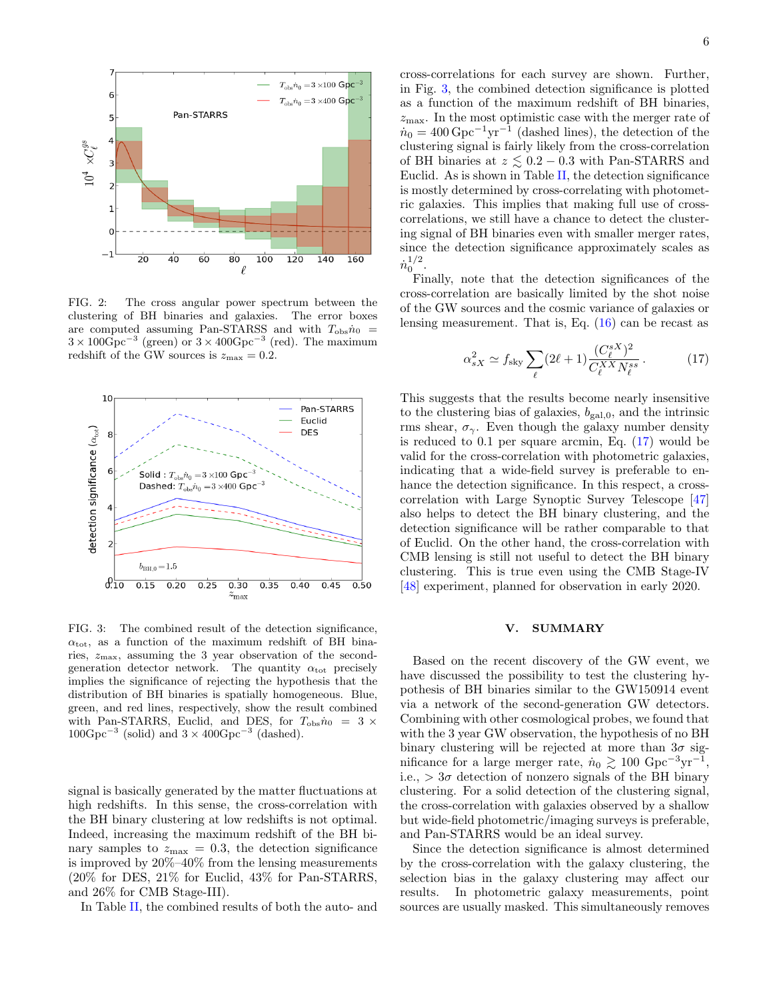

<span id="page-5-1"></span>FIG. 2: The cross angular power spectrum between the clustering of BH binaries and galaxies. The error boxes are computed assuming Pan-STARSS and with  $T_{\text{obs}}\dot{n}_{0}$  =  $3 \times 100 \text{Gpc}^{-3}$  (green) or  $3 \times 400 \text{Gpc}^{-3}$  (red). The maximum redshift of the GW sources is  $z_{\text{max}} = 0.2$ .



<span id="page-5-2"></span>FIG. 3: The combined result of the detection significance,  $\alpha_{\rm tot}$ , as a function of the maximum redshift of BH binaries,  $z_{\text{max}}$ , assuming the 3 year observation of the secondgeneration detector network. The quantity  $\alpha_{\text{tot}}$  precisely implies the significance of rejecting the hypothesis that the distribution of BH binaries is spatially homogeneous. Blue, green, and red lines, respectively, show the result combined with Pan-STARRS, Euclid, and DES, for  $T_{\text{obs}}\dot{n}_0 = 3 \times$  $100 \text{Gpc}^{-3}$  (solid) and  $3 \times 400 \text{Gpc}^{-3}$  (dashed).

signal is basically generated by the matter fluctuations at high redshifts. In this sense, the cross-correlation with the BH binary clustering at low redshifts is not optimal. Indeed, increasing the maximum redshift of the BH binary samples to  $z_{\text{max}} = 0.3$ , the detection significance is improved by 20%–40% from the lensing measurements (20% for DES, 21% for Euclid, 43% for Pan-STARRS, and 26% for CMB Stage-III).

In Table [II,](#page-4-3) the combined results of both the auto- and

cross-correlations for each survey are shown. Further, in Fig. [3,](#page-5-2) the combined detection significance is plotted as a function of the maximum redshift of BH binaries,  $z_{\text{max}}$ . In the most optimistic case with the merger rate of  $\dot{n}_0 = 400 \,\text{Gpc}^{-1}\text{yr}^{-1}$  (dashed lines), the detection of the clustering signal is fairly likely from the cross-correlation of BH binaries at  $z \leq 0.2 - 0.3$  with Pan-STARRS and Euclid. As is shown in Table [II,](#page-4-3) the detection significance is mostly determined by cross-correlating with photometric galaxies. This implies that making full use of crosscorrelations, we still have a chance to detect the clustering signal of BH binaries even with smaller merger rates,

 $\dot{n}_0^{1/2}.$ Finally, note that the detection significances of the cross-correlation are basically limited by the shot noise of the GW sources and the cosmic variance of galaxies or lensing measurement. That is, Eq. [\(16\)](#page-4-0) can be recast as

since the detection significance approximately scales as

<span id="page-5-3"></span>
$$
\alpha_{sX}^2 \simeq f_{\rm sky} \sum_{\ell} (2\ell + 1) \frac{(C_{\ell}^{sX})^2}{C_{\ell}^{XX} N_{\ell}^{ss}}.
$$
 (17)

This suggests that the results become nearly insensitive to the clustering bias of galaxies,  $b_{\text{gal,0}}$ , and the intrinsic rms shear,  $\sigma_{\gamma}$ . Even though the galaxy number density is reduced to 0.1 per square arcmin, Eq. [\(17\)](#page-5-3) would be valid for the cross-correlation with photometric galaxies, indicating that a wide-field survey is preferable to enhance the detection significance. In this respect, a crosscorrelation with Large Synoptic Survey Telescope [\[47\]](#page-7-12) also helps to detect the BH binary clustering, and the detection significance will be rather comparable to that of Euclid. On the other hand, the cross-correlation with CMB lensing is still not useful to detect the BH binary clustering. This is true even using the CMB Stage-IV [\[48\]](#page-7-13) experiment, planned for observation in early 2020.

# <span id="page-5-0"></span>V. SUMMARY

Based on the recent discovery of the GW event, we have discussed the possibility to test the clustering hypothesis of BH binaries similar to the GW150914 event via a network of the second-generation GW detectors. Combining with other cosmological probes, we found that with the 3 year GW observation, the hypothesis of no BH binary clustering will be rejected at more than  $3\sigma$  significance for a large merger rate,  $\dot{n}_0 \gtrsim 100 \text{ Gpc}^{-3} \text{yr}^{-1}$ , i.e.,  $> 3\sigma$  detection of nonzero signals of the BH binary clustering. For a solid detection of the clustering signal, the cross-correlation with galaxies observed by a shallow but wide-field photometric/imaging surveys is preferable, and Pan-STARRS would be an ideal survey.

Since the detection significance is almost determined by the cross-correlation with the galaxy clustering, the selection bias in the galaxy clustering may affect our results. In photometric galaxy measurements, point sources are usually masked. This simultaneously removes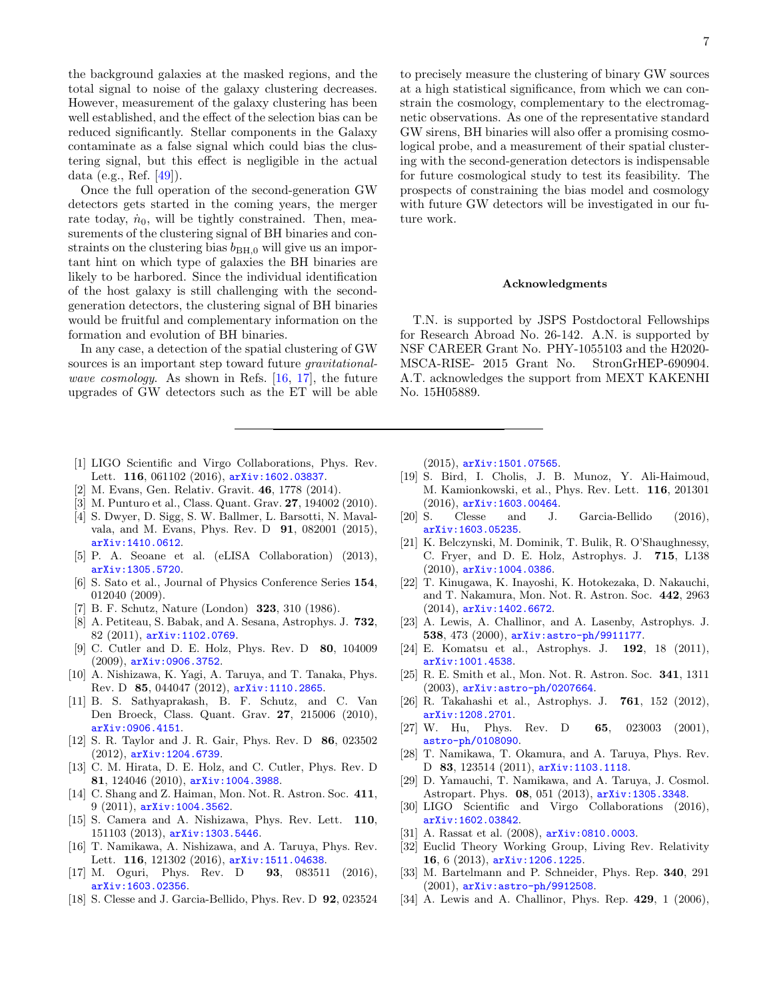the background galaxies at the masked regions, and the total signal to noise of the galaxy clustering decreases. However, measurement of the galaxy clustering has been well established, and the effect of the selection bias can be reduced significantly. Stellar components in the Galaxy contaminate as a false signal which could bias the clustering signal, but this effect is negligible in the actual data (e.g., Ref. [\[49\]](#page-7-14)).

Once the full operation of the second-generation GW detectors gets started in the coming years, the merger rate today,  $\dot{n}_0$ , will be tightly constrained. Then, measurements of the clustering signal of BH binaries and constraints on the clustering bias  $b_{\text{BH},0}$  will give us an important hint on which type of galaxies the BH binaries are likely to be harbored. Since the individual identification of the host galaxy is still challenging with the secondgeneration detectors, the clustering signal of BH binaries would be fruitful and complementary information on the formation and evolution of BH binaries.

In any case, a detection of the spatial clustering of GW sources is an important step toward future *gravitational*-wave cosmology. As shown in Refs. [\[16,](#page-6-8) [17\]](#page-6-9), the future upgrades of GW detectors such as the ET will be able

- <span id="page-6-0"></span>[1] LIGO Scientific and Virgo Collaborations, Phys. Rev. Lett. 116, 061102 (2016), arXiv: 1602.03837.
- <span id="page-6-1"></span>[2] M. Evans, Gen. Relativ. Gravit. 46, 1778 (2014).
- <span id="page-6-2"></span>[3] M. Punturo et al., Class. Quant. Grav. 27, 194002 (2010).
- <span id="page-6-3"></span>[4] S. Dwyer, D. Sigg, S. W. Ballmer, L. Barsotti, N. Mavalvala, and M. Evans, Phys. Rev. D 91, 082001 (2015), [arXiv:1410.0612](http://arxiv.org/abs/arXiv:1410.0612).
- <span id="page-6-4"></span>[5] P. A. Seoane et al. (eLISA Collaboration) (2013), [arXiv:1305.5720](http://arxiv.org/abs/1305.5720).
- <span id="page-6-5"></span>[6] S. Sato et al., Journal of Physics Conference Series 154, 012040 (2009).
- <span id="page-6-6"></span>[7] B. F. Schutz, Nature (London) 323, 310 (1986).
- [8] A. Petiteau, S. Babak, and A. Sesana, Astrophys. J. 732, 82 (2011), [arXiv:1102.0769](http://arxiv.org/abs/arXiv:1102.0769).
- [9] C. Cutler and D. E. Holz, Phys. Rev. D 80, 104009 (2009), [arXiv:0906.3752](http://arxiv.org/abs/arXiv:0906.3752).
- [10] A. Nishizawa, K. Yagi, A. Taruya, and T. Tanaka, Phys. Rev. D 85, 044047 (2012), [arXiv:1110.2865](http://arxiv.org/abs/arXiv:1110.2865).
- [11] B. S. Sathyaprakash, B. F. Schutz, and C. Van Den Broeck, Class. Quant. Grav. 27, 215006 (2010), [arXiv:0906.4151](http://arxiv.org/abs/arXiv:0906.4151).
- [12] S. R. Taylor and J. R. Gair, Phys. Rev. D 86, 023502 (2012), [arXiv:1204.6739](http://arxiv.org/abs/arXiv:1204.6739).
- [13] C. M. Hirata, D. E. Holz, and C. Cutler, Phys. Rev. D 81, 124046 (2010), [arXiv:1004.3988](http://arxiv.org/abs/arXiv:1004.3988).
- [14] C. Shang and Z. Haiman, Mon. Not. R. Astron. Soc. 411, 9 (2011), [arXiv:1004.3562](http://arxiv.org/abs/arXiv:1004.3562).
- <span id="page-6-7"></span>[15] S. Camera and A. Nishizawa, Phys. Rev. Lett. 110, 151103 (2013), [arXiv:1303.5446](http://arxiv.org/abs/arXiv:1303.5446).
- <span id="page-6-8"></span>[16] T. Namikawa, A. Nishizawa, and A. Taruya, Phys. Rev. Lett. 116, 121302 (2016), arXiv: 1511.04638.
- <span id="page-6-9"></span>[17] M. Oguri, Phys. Rev. D **93**, 083511 (2016), [arXiv:1603.02356](http://arxiv.org/abs/arXiv:1603.02356).
- <span id="page-6-10"></span>[18] S. Clesse and J. Garcia-Bellido, Phys. Rev. D 92, 023524

7

to precisely measure the clustering of binary GW sources at a high statistical significance, from which we can constrain the cosmology, complementary to the electromagnetic observations. As one of the representative standard GW sirens, BH binaries will also offer a promising cosmological probe, and a measurement of their spatial clustering with the second-generation detectors is indispensable for future cosmological study to test its feasibility. The prospects of constraining the bias model and cosmology with future GW detectors will be investigated in our future work.

#### Acknowledgments

T.N. is supported by JSPS Postdoctoral Fellowships for Research Abroad No. 26-142. A.N. is supported by NSF CAREER Grant No. PHY-1055103 and the H2020- MSCA-RISE- 2015 Grant No. StronGrHEP-690904. A.T. acknowledges the support from MEXT KAKENHI No. 15H05889.

(2015), [arXiv:1501.07565](http://arxiv.org/abs/arXiv:1501.07565).

- [19] S. Bird, I. Cholis, J. B. Munoz, Y. Ali-Haimoud, M. Kamionkowski, et al., Phys. Rev. Lett. 116, 201301 (2016), [arXiv:1603.00464](http://arxiv.org/abs/arXiv:1603.00464).
- <span id="page-6-11"></span>[20] S. Clesse and J. Garcia-Bellido (2016), [arXiv:1603.05235](http://arxiv.org/abs/arXiv:1603.05235).
- <span id="page-6-12"></span>[21] K. Belczynski, M. Dominik, T. Bulik, R. O'Shaughnessy, C. Fryer, and D. E. Holz, Astrophys. J. 715, L138 (2010), [arXiv:1004.0386](http://arxiv.org/abs/arXiv:1004.0386).
- <span id="page-6-13"></span>[22] T. Kinugawa, K. Inayoshi, K. Hotokezaka, D. Nakauchi, and T. Nakamura, Mon. Not. R. Astron. Soc. 442, 2963 (2014), [arXiv:1402.6672](http://arxiv.org/abs/arXiv:1402.6672).
- <span id="page-6-14"></span>[23] A. Lewis, A. Challinor, and A. Lasenby, Astrophys. J. 538, 473 (2000), [arXiv:astro-ph/9911177](http://arxiv.org/abs/arXiv:astro-ph/9911177).
- <span id="page-6-15"></span>[24] E. Komatsu et al., Astrophys. J. 192, 18 (2011), [arXiv:1001.4538](http://arxiv.org/abs/arXiv:1001.4538).
- <span id="page-6-16"></span>[25] R. E. Smith et al., Mon. Not. R. Astron. Soc. 341, 1311 (2003), [arXiv:astro-ph/0207664](http://arxiv.org/abs/arXiv:astro-ph/0207664).
- <span id="page-6-17"></span>[26] R. Takahashi et al., Astrophys. J. 761, 152 (2012), [arXiv:1208.2701](http://arxiv.org/abs/arXiv:1208.2701).
- <span id="page-6-18"></span>[27] W. Hu, Phys. Rev. D 65, 023003 (2001), [astro-ph/0108090](http://arxiv.org/abs/astro-ph/0108090).
- <span id="page-6-22"></span>[28] T. Namikawa, T. Okamura, and A. Taruya, Phys. Rev. D 83, 123514 (2011), [arXiv:1103.1118](http://arxiv.org/abs/arXiv:1103.1118).
- <span id="page-6-19"></span>[29] D. Yamauchi, T. Namikawa, and A. Taruya, J. Cosmol. Astropart. Phys. 08, 051 (2013), [arXiv:1305.3348](http://arxiv.org/abs/arXiv:1305.3348).
- <span id="page-6-20"></span>[30] LIGO Scientific and Virgo Collaborations (2016), [arXiv:1602.03842](http://arxiv.org/abs/arXiv:1602.03842).
- <span id="page-6-21"></span>[31] A. Rassat et al. (2008),  $arXiv:0810.0003$ .
- <span id="page-6-23"></span>[32] Euclid Theory Working Group, Living Rev. Relativity 16, 6 (2013), [arXiv:1206.1225](http://arxiv.org/abs/arXiv:1206.1225).
- <span id="page-6-24"></span>[33] M. Bartelmann and P. Schneider, Phys. Rep. 340, 291  $(2001)$ ,  $arXiv:astro-ph/9912508$ .
- <span id="page-6-25"></span>[34] A. Lewis and A. Challinor, Phys. Rep. 429, 1 (2006),